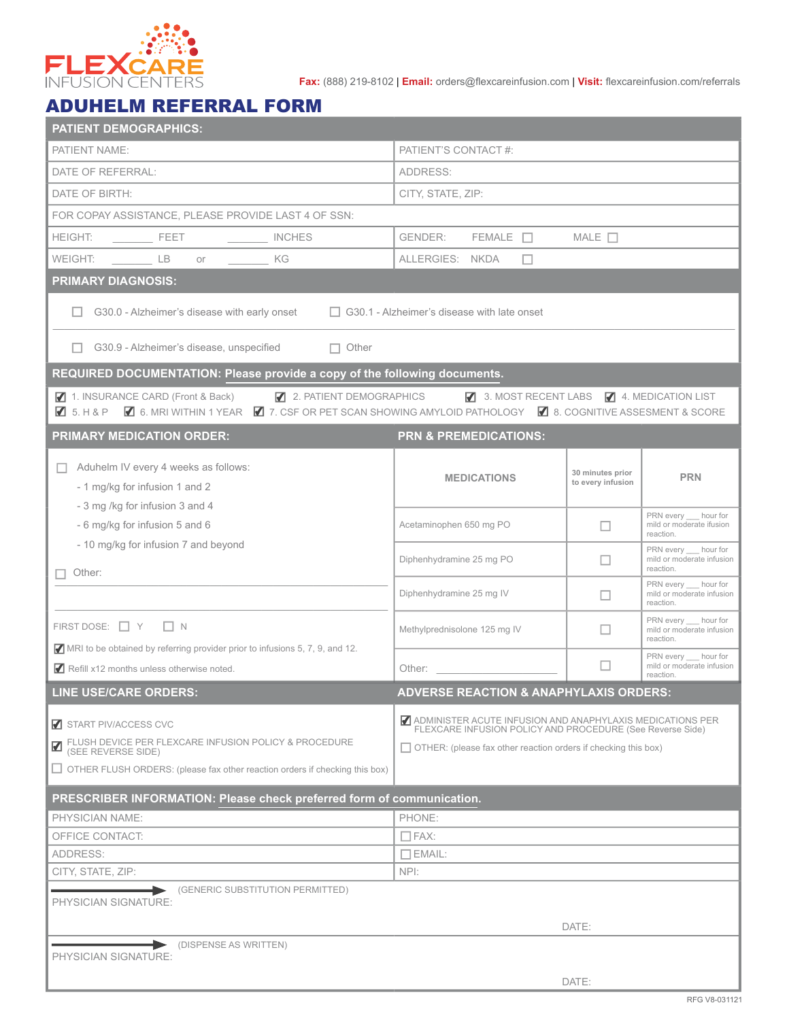

**Fax:** (888) 219-8102 | **Email:** orders@flexcareinfusion.com | **Visit:** flexcareinfusion.com/referrals

## ADUHELM REFERRAL FORM

| PATIENT'S CONTACT #:<br>ADDRESS:<br>CITY, STATE, ZIP:<br>GENDER:<br>$FEMALE$ $\Box$<br>$\begin{array}{ccc}\n & \text{FEET}\n\end{array}$<br>MALE $\Box$<br>INCHES<br>ALLERGIES: NKDA<br><b>LB</b><br><b>KG</b><br>п<br>or<br>G30.0 - Alzheimer's disease with early onset<br>$\Box$ G30.1 - Alzheimer's disease with late onset<br>G30.9 - Alzheimer's disease, unspecified<br>$\Box$ Other<br>REQUIRED DOCUMENTATION: Please provide a copy of the following documents.<br>◘ 2. PATIENT DEMOGRAPHICS 2. MOST RECENT LABS 24. MEDICATION LIST<br>1. INSURANCE CARD (Front & Back)<br>Z 5. H & P Z 6. MRI WITHIN 1 YEAR Z 7. CSF OR PET SCAN SHOWING AMYLOID PATHOLOGY Z 8. COGNITIVE ASSESMENT & SCORE<br><b>PRN &amp; PREMEDICATIONS:</b><br>Aduhelm IV every 4 weeks as follows:<br>30 minutes prior<br><b>MEDICATIONS</b><br><b>PRN</b><br>to every infusion<br>- 1 mg/kg for infusion 1 and 2<br>- 3 mg /kg for infusion 3 and 4<br>PRN every __ hour for<br>mild or moderate ifusion<br>- 6 mg/kg for infusion 5 and 6<br>Acetaminophen 650 mg PO<br>□<br>reaction.<br>- 10 mg/kg for infusion 7 and beyond<br>PRN every hour for<br>Diphenhydramine 25 mg PO<br>П<br>reaction.<br>Other:<br>PRN every hour for<br>Diphenhydramine 25 mg IV<br>$\Box$<br>reaction.<br>PRN every __ hour for<br>П<br>Methylprednisolone 125 mg IV<br>reaction.<br>MRI to be obtained by referring provider prior to infusions 5, 7, 9, and 12.<br>PRN every hour for<br>П<br>Other:<br>reaction.<br><b>ADVERSE REACTION &amp; ANAPHYLAXIS ORDERS:</b><br>ADMINISTER ACUTE INFUSION AND ANAPHYLAXIS MEDICATIONS PER<br>FLEXCARE INFUSION POLICY AND PROCEDURE (See Reverse Side)<br>FLUSH DEVICE PER FLEXCARE INFUSION POLICY & PROCEDURE<br>$\Box$ OTHER: (please fax other reaction orders if checking this box)<br>(SEE REVERSE SIDE)<br>$\Box$ OTHER FLUSH ORDERS: (please fax other reaction orders if checking this box)<br>PRESCRIBER INFORMATION: Please check preferred form of communication.<br>PHONE:<br>$\Box$ FAX:<br>$\Box$ EMAIL:<br>CITY, STATE, ZIP:<br>NPI:<br>(GENERIC SUBSTITUTION PERMITTED)<br>DATE:<br>(DISPENSE AS WRITTEN)<br>DATE: | <b>PATIENT DEMOGRAPHICS:</b>                        |  |  |                           |  |  |
|--------------------------------------------------------------------------------------------------------------------------------------------------------------------------------------------------------------------------------------------------------------------------------------------------------------------------------------------------------------------------------------------------------------------------------------------------------------------------------------------------------------------------------------------------------------------------------------------------------------------------------------------------------------------------------------------------------------------------------------------------------------------------------------------------------------------------------------------------------------------------------------------------------------------------------------------------------------------------------------------------------------------------------------------------------------------------------------------------------------------------------------------------------------------------------------------------------------------------------------------------------------------------------------------------------------------------------------------------------------------------------------------------------------------------------------------------------------------------------------------------------------------------------------------------------------------------------------------------------------------------------------------------------------------------------------------------------------------------------------------------------------------------------------------------------------------------------------------------------------------------------------------------------------------------------------------------------------------------------------------------------------------------------------------------------------------------------------------------------------------------------------------------|-----------------------------------------------------|--|--|---------------------------|--|--|
|                                                                                                                                                                                                                                                                                                                                                                                                                                                                                                                                                                                                                                                                                                                                                                                                                                                                                                                                                                                                                                                                                                                                                                                                                                                                                                                                                                                                                                                                                                                                                                                                                                                                                                                                                                                                                                                                                                                                                                                                                                                                                                                                                  | PATIENT NAME:                                       |  |  |                           |  |  |
|                                                                                                                                                                                                                                                                                                                                                                                                                                                                                                                                                                                                                                                                                                                                                                                                                                                                                                                                                                                                                                                                                                                                                                                                                                                                                                                                                                                                                                                                                                                                                                                                                                                                                                                                                                                                                                                                                                                                                                                                                                                                                                                                                  | DATE OF REFERRAL:                                   |  |  |                           |  |  |
|                                                                                                                                                                                                                                                                                                                                                                                                                                                                                                                                                                                                                                                                                                                                                                                                                                                                                                                                                                                                                                                                                                                                                                                                                                                                                                                                                                                                                                                                                                                                                                                                                                                                                                                                                                                                                                                                                                                                                                                                                                                                                                                                                  | DATE OF BIRTH:                                      |  |  |                           |  |  |
|                                                                                                                                                                                                                                                                                                                                                                                                                                                                                                                                                                                                                                                                                                                                                                                                                                                                                                                                                                                                                                                                                                                                                                                                                                                                                                                                                                                                                                                                                                                                                                                                                                                                                                                                                                                                                                                                                                                                                                                                                                                                                                                                                  | FOR COPAY ASSISTANCE, PLEASE PROVIDE LAST 4 OF SSN: |  |  |                           |  |  |
|                                                                                                                                                                                                                                                                                                                                                                                                                                                                                                                                                                                                                                                                                                                                                                                                                                                                                                                                                                                                                                                                                                                                                                                                                                                                                                                                                                                                                                                                                                                                                                                                                                                                                                                                                                                                                                                                                                                                                                                                                                                                                                                                                  | HEIGHT:                                             |  |  |                           |  |  |
|                                                                                                                                                                                                                                                                                                                                                                                                                                                                                                                                                                                                                                                                                                                                                                                                                                                                                                                                                                                                                                                                                                                                                                                                                                                                                                                                                                                                                                                                                                                                                                                                                                                                                                                                                                                                                                                                                                                                                                                                                                                                                                                                                  | WEIGHT:                                             |  |  |                           |  |  |
|                                                                                                                                                                                                                                                                                                                                                                                                                                                                                                                                                                                                                                                                                                                                                                                                                                                                                                                                                                                                                                                                                                                                                                                                                                                                                                                                                                                                                                                                                                                                                                                                                                                                                                                                                                                                                                                                                                                                                                                                                                                                                                                                                  | <b>PRIMARY DIAGNOSIS:</b>                           |  |  |                           |  |  |
|                                                                                                                                                                                                                                                                                                                                                                                                                                                                                                                                                                                                                                                                                                                                                                                                                                                                                                                                                                                                                                                                                                                                                                                                                                                                                                                                                                                                                                                                                                                                                                                                                                                                                                                                                                                                                                                                                                                                                                                                                                                                                                                                                  |                                                     |  |  |                           |  |  |
|                                                                                                                                                                                                                                                                                                                                                                                                                                                                                                                                                                                                                                                                                                                                                                                                                                                                                                                                                                                                                                                                                                                                                                                                                                                                                                                                                                                                                                                                                                                                                                                                                                                                                                                                                                                                                                                                                                                                                                                                                                                                                                                                                  |                                                     |  |  |                           |  |  |
|                                                                                                                                                                                                                                                                                                                                                                                                                                                                                                                                                                                                                                                                                                                                                                                                                                                                                                                                                                                                                                                                                                                                                                                                                                                                                                                                                                                                                                                                                                                                                                                                                                                                                                                                                                                                                                                                                                                                                                                                                                                                                                                                                  |                                                     |  |  |                           |  |  |
|                                                                                                                                                                                                                                                                                                                                                                                                                                                                                                                                                                                                                                                                                                                                                                                                                                                                                                                                                                                                                                                                                                                                                                                                                                                                                                                                                                                                                                                                                                                                                                                                                                                                                                                                                                                                                                                                                                                                                                                                                                                                                                                                                  |                                                     |  |  |                           |  |  |
|                                                                                                                                                                                                                                                                                                                                                                                                                                                                                                                                                                                                                                                                                                                                                                                                                                                                                                                                                                                                                                                                                                                                                                                                                                                                                                                                                                                                                                                                                                                                                                                                                                                                                                                                                                                                                                                                                                                                                                                                                                                                                                                                                  | <b>PRIMARY MEDICATION ORDER:</b>                    |  |  |                           |  |  |
|                                                                                                                                                                                                                                                                                                                                                                                                                                                                                                                                                                                                                                                                                                                                                                                                                                                                                                                                                                                                                                                                                                                                                                                                                                                                                                                                                                                                                                                                                                                                                                                                                                                                                                                                                                                                                                                                                                                                                                                                                                                                                                                                                  |                                                     |  |  |                           |  |  |
|                                                                                                                                                                                                                                                                                                                                                                                                                                                                                                                                                                                                                                                                                                                                                                                                                                                                                                                                                                                                                                                                                                                                                                                                                                                                                                                                                                                                                                                                                                                                                                                                                                                                                                                                                                                                                                                                                                                                                                                                                                                                                                                                                  |                                                     |  |  |                           |  |  |
|                                                                                                                                                                                                                                                                                                                                                                                                                                                                                                                                                                                                                                                                                                                                                                                                                                                                                                                                                                                                                                                                                                                                                                                                                                                                                                                                                                                                                                                                                                                                                                                                                                                                                                                                                                                                                                                                                                                                                                                                                                                                                                                                                  |                                                     |  |  | mild or moderate infusion |  |  |
|                                                                                                                                                                                                                                                                                                                                                                                                                                                                                                                                                                                                                                                                                                                                                                                                                                                                                                                                                                                                                                                                                                                                                                                                                                                                                                                                                                                                                                                                                                                                                                                                                                                                                                                                                                                                                                                                                                                                                                                                                                                                                                                                                  |                                                     |  |  | mild or moderate infusion |  |  |
|                                                                                                                                                                                                                                                                                                                                                                                                                                                                                                                                                                                                                                                                                                                                                                                                                                                                                                                                                                                                                                                                                                                                                                                                                                                                                                                                                                                                                                                                                                                                                                                                                                                                                                                                                                                                                                                                                                                                                                                                                                                                                                                                                  | FIRST DOSE: $\Box$ Y $\Box$ N                       |  |  | mild or moderate infusion |  |  |
|                                                                                                                                                                                                                                                                                                                                                                                                                                                                                                                                                                                                                                                                                                                                                                                                                                                                                                                                                                                                                                                                                                                                                                                                                                                                                                                                                                                                                                                                                                                                                                                                                                                                                                                                                                                                                                                                                                                                                                                                                                                                                                                                                  | Refill x12 months unless otherwise noted.           |  |  | mild or moderate infusion |  |  |
|                                                                                                                                                                                                                                                                                                                                                                                                                                                                                                                                                                                                                                                                                                                                                                                                                                                                                                                                                                                                                                                                                                                                                                                                                                                                                                                                                                                                                                                                                                                                                                                                                                                                                                                                                                                                                                                                                                                                                                                                                                                                                                                                                  | <b>LINE USE/CARE ORDERS:</b>                        |  |  |                           |  |  |
|                                                                                                                                                                                                                                                                                                                                                                                                                                                                                                                                                                                                                                                                                                                                                                                                                                                                                                                                                                                                                                                                                                                                                                                                                                                                                                                                                                                                                                                                                                                                                                                                                                                                                                                                                                                                                                                                                                                                                                                                                                                                                                                                                  | START PIV/ACCESS CVC                                |  |  |                           |  |  |
|                                                                                                                                                                                                                                                                                                                                                                                                                                                                                                                                                                                                                                                                                                                                                                                                                                                                                                                                                                                                                                                                                                                                                                                                                                                                                                                                                                                                                                                                                                                                                                                                                                                                                                                                                                                                                                                                                                                                                                                                                                                                                                                                                  |                                                     |  |  |                           |  |  |
|                                                                                                                                                                                                                                                                                                                                                                                                                                                                                                                                                                                                                                                                                                                                                                                                                                                                                                                                                                                                                                                                                                                                                                                                                                                                                                                                                                                                                                                                                                                                                                                                                                                                                                                                                                                                                                                                                                                                                                                                                                                                                                                                                  | <b>PHYSICIAN NAME:</b>                              |  |  |                           |  |  |
|                                                                                                                                                                                                                                                                                                                                                                                                                                                                                                                                                                                                                                                                                                                                                                                                                                                                                                                                                                                                                                                                                                                                                                                                                                                                                                                                                                                                                                                                                                                                                                                                                                                                                                                                                                                                                                                                                                                                                                                                                                                                                                                                                  | OFFICE CONTACT:                                     |  |  |                           |  |  |
|                                                                                                                                                                                                                                                                                                                                                                                                                                                                                                                                                                                                                                                                                                                                                                                                                                                                                                                                                                                                                                                                                                                                                                                                                                                                                                                                                                                                                                                                                                                                                                                                                                                                                                                                                                                                                                                                                                                                                                                                                                                                                                                                                  | ADDRESS:                                            |  |  |                           |  |  |
|                                                                                                                                                                                                                                                                                                                                                                                                                                                                                                                                                                                                                                                                                                                                                                                                                                                                                                                                                                                                                                                                                                                                                                                                                                                                                                                                                                                                                                                                                                                                                                                                                                                                                                                                                                                                                                                                                                                                                                                                                                                                                                                                                  | PHYSICIAN SIGNATURE:                                |  |  |                           |  |  |
|                                                                                                                                                                                                                                                                                                                                                                                                                                                                                                                                                                                                                                                                                                                                                                                                                                                                                                                                                                                                                                                                                                                                                                                                                                                                                                                                                                                                                                                                                                                                                                                                                                                                                                                                                                                                                                                                                                                                                                                                                                                                                                                                                  |                                                     |  |  |                           |  |  |
|                                                                                                                                                                                                                                                                                                                                                                                                                                                                                                                                                                                                                                                                                                                                                                                                                                                                                                                                                                                                                                                                                                                                                                                                                                                                                                                                                                                                                                                                                                                                                                                                                                                                                                                                                                                                                                                                                                                                                                                                                                                                                                                                                  | PHYSICIAN SIGNATURE:                                |  |  |                           |  |  |
|                                                                                                                                                                                                                                                                                                                                                                                                                                                                                                                                                                                                                                                                                                                                                                                                                                                                                                                                                                                                                                                                                                                                                                                                                                                                                                                                                                                                                                                                                                                                                                                                                                                                                                                                                                                                                                                                                                                                                                                                                                                                                                                                                  |                                                     |  |  |                           |  |  |